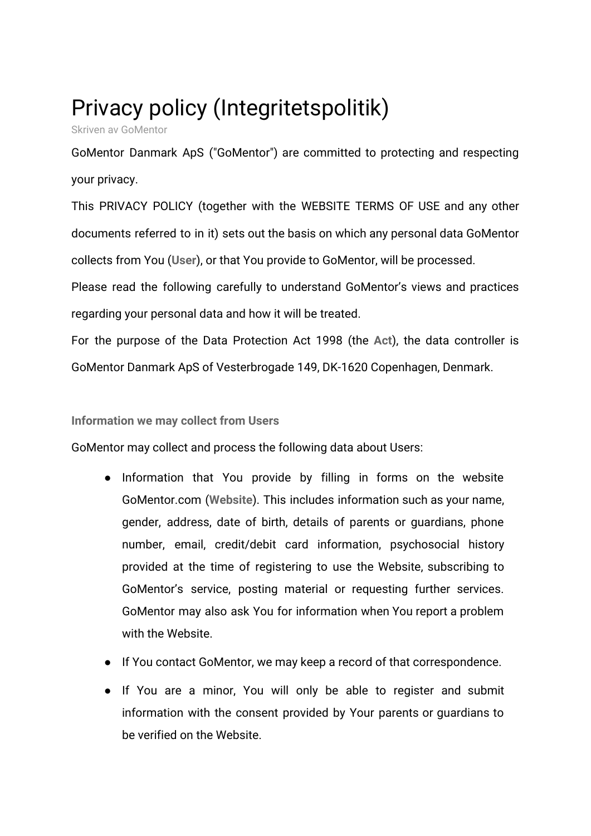# Privacy policy (Integritetspolitik)

Skriven av GoMentor

GoMentor Danmark ApS ("GoMentor") are committed to protecting and respecting your privacy.

This PRIVACY POLICY (together with the WEBSITE TERMS OF USE and any other documents referred to in it) sets out the basis on which any personal data GoMentor collects from You (**User**), or that You provide to GoMentor, will be processed.

Please read the following carefully to understand GoMentor's views and practices regarding your personal data and how it will be treated.

For the purpose of the Data Protection Act 1998 (the **Act**), the data controller is GoMentor Danmark ApS of Vesterbrogade 149, DK-1620 Copenhagen, Denmark.

**Information we may collect from Users**

GoMentor may collect and process the following data about Users:

- Information that You provide by filling in forms on the website GoMentor.com (**Website**). This includes information such as your name, gender, address, date of birth, details of parents or guardians, phone number, email, credit/debit card information, psychosocial history provided at the time of registering to use the Website, subscribing to GoMentor's service, posting material or requesting further services. GoMentor may also ask You for information when You report a problem with the Website.
- If You contact GoMentor, we may keep a record of that correspondence.
- If You are a minor, You will only be able to register and submit information with the consent provided by Your parents or guardians to be verified on the Website.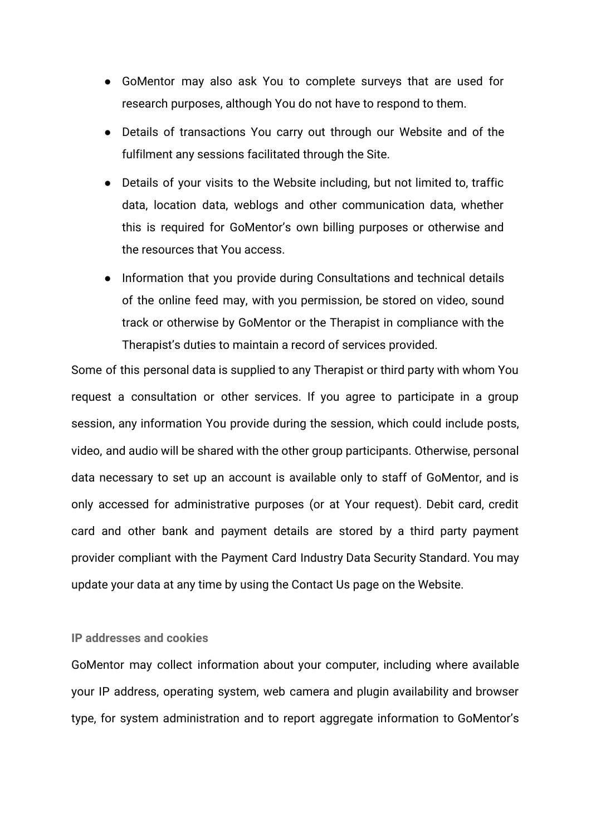- GoMentor may also ask You to complete surveys that are used for research purposes, although You do not have to respond to them.
- Details of transactions You carry out through our Website and of the fulfilment any sessions facilitated through the Site.
- Details of your visits to the Website including, but not limited to, traffic data, location data, weblogs and other communication data, whether this is required for GoMentor's own billing purposes or otherwise and the resources that You access.
- Information that you provide during Consultations and technical details of the online feed may, with you permission, be stored on video, sound track or otherwise by GoMentor or the Therapist in compliance with the Therapist's duties to maintain a record of services provided.

Some of this personal data is supplied to any Therapist or third party with whom You request a consultation or other services. If you agree to participate in a group session, any information You provide during the session, which could include posts, video, and audio will be shared with the other group participants. Otherwise, personal data necessary to set up an account is available only to staff of GoMentor, and is only accessed for administrative purposes (or at Your request). Debit card, credit card and other bank and payment details are stored by a third party payment provider compliant with the Payment Card Industry Data Security Standard. You may update your data at any time by using the Contact Us page on the Website.

# **IP addresses and cookies**

GoMentor may collect information about your computer, including where available your IP address, operating system, web camera and plugin availability and browser type, for system administration and to report aggregate information to GoMentor's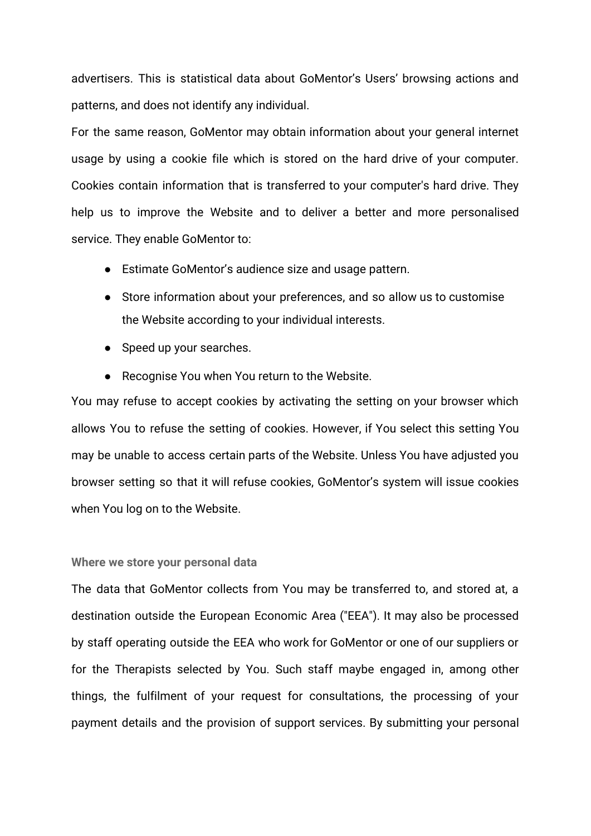advertisers. This is statistical data about GoMentor's Users' browsing actions and patterns, and does not identify any individual.

For the same reason, GoMentor may obtain information about your general internet usage by using a cookie file which is stored on the hard drive of your computer. Cookies contain information that is transferred to your computer's hard drive. They help us to improve the Website and to deliver a better and more personalised service. They enable GoMentor to:

- Estimate GoMentor's audience size and usage pattern.
- Store information about your preferences, and so allow us to customise the Website according to your individual interests.
- Speed up your searches.
- Recognise You when You return to the Website.

You may refuse to accept cookies by activating the setting on your browser which allows You to refuse the setting of cookies. However, if You select this setting You may be unable to access certain parts of the Website. Unless You have adjusted you browser setting so that it will refuse cookies, GoMentor's system will issue cookies when You log on to the Website.

#### **Where we store your personal data**

The data that GoMentor collects from You may be transferred to, and stored at, a destination outside the European Economic Area ("EEA"). It may also be processed by staff operating outside the EEA who work for GoMentor or one of our suppliers or for the Therapists selected by You. Such staff maybe engaged in, among other things, the fulfilment of your request for consultations, the processing of your payment details and the provision of support services. By submitting your personal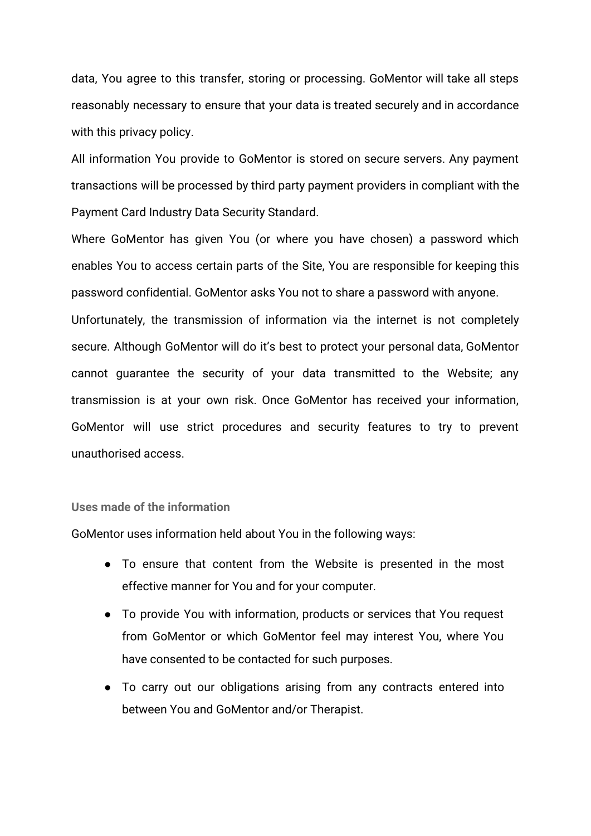data, You agree to this transfer, storing or processing. GoMentor will take all steps reasonably necessary to ensure that your data is treated securely and in accordance with this privacy policy.

All information You provide to GoMentor is stored on secure servers. Any payment transactions will be processed by third party payment providers in compliant with the Payment Card Industry Data Security Standard.

Where GoMentor has given You (or where you have chosen) a password which enables You to access certain parts of the Site, You are responsible for keeping this password confidential. GoMentor asks You not to share a password with anyone.

Unfortunately, the transmission of information via the internet is not completely secure. Although GoMentor will do it's best to protect your personal data, GoMentor cannot guarantee the security of your data transmitted to the Website; any transmission is at your own risk. Once GoMentor has received your information, GoMentor will use strict procedures and security features to try to prevent unauthorised access.

# **Uses made of the information**

GoMentor uses information held about You in the following ways:

- To ensure that content from the Website is presented in the most effective manner for You and for your computer.
- To provide You with information, products or services that You request from GoMentor or which GoMentor feel may interest You, where You have consented to be contacted for such purposes.
- To carry out our obligations arising from any contracts entered into between You and GoMentor and/or Therapist.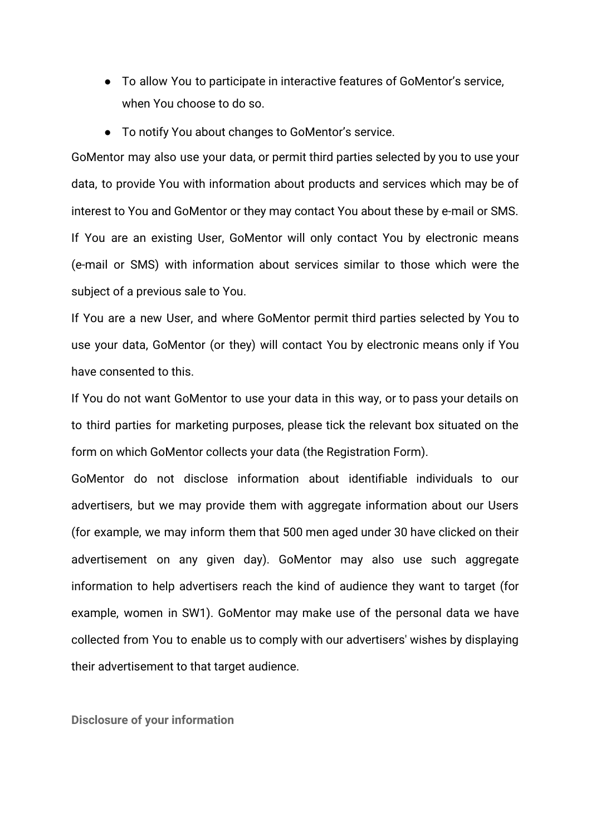- To allow You to participate in interactive features of GoMentor's service, when You choose to do so.
- To notify You about changes to GoMentor's service.

GoMentor may also use your data, or permit third parties selected by you to use your data, to provide You with information about products and services which may be of interest to You and GoMentor or they may contact You about these by e-mail or SMS. If You are an existing User, GoMentor will only contact You by electronic means (e-mail or SMS) with information about services similar to those which were the subject of a previous sale to You.

If You are a new User, and where GoMentor permit third parties selected by You to use your data, GoMentor (or they) will contact You by electronic means only if You have consented to this.

If You do not want GoMentor to use your data in this way, or to pass your details on to third parties for marketing purposes, please tick the relevant box situated on the form on which GoMentor collects your data (the Registration Form).

GoMentor do not disclose information about identifiable individuals to our advertisers, but we may provide them with aggregate information about our Users (for example, we may inform them that 500 men aged under 30 have clicked on their advertisement on any given day). GoMentor may also use such aggregate information to help advertisers reach the kind of audience they want to target (for example, women in SW1). GoMentor may make use of the personal data we have collected from You to enable us to comply with our advertisers' wishes by displaying their advertisement to that target audience.

**Disclosure of your information**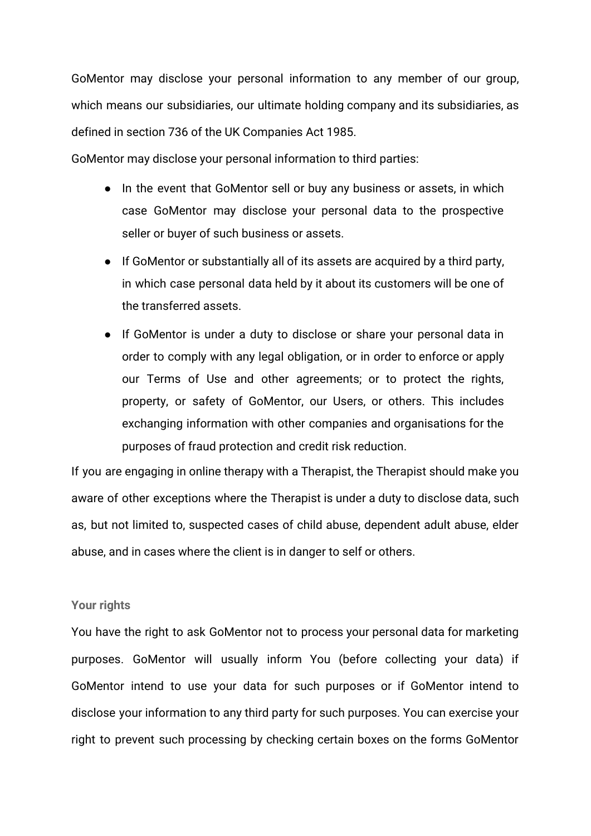GoMentor may disclose your personal information to any member of our group, which means our subsidiaries, our ultimate holding company and its subsidiaries, as defined in section 736 of the UK Companies Act 1985.

GoMentor may disclose your personal information to third parties:

- In the event that GoMentor sell or buy any business or assets, in which case GoMentor may disclose your personal data to the prospective seller or buyer of such business or assets.
- If GoMentor or substantially all of its assets are acquired by a third party, in which case personal data held by it about its customers will be one of the transferred assets.
- If GoMentor is under a duty to disclose or share your personal data in order to comply with any legal obligation, or in order to enforce or apply our Terms of Use and other agreements; or to protect the rights, property, or safety of GoMentor, our Users, or others. This includes exchanging information with other companies and organisations for the purposes of fraud protection and credit risk reduction.

If you are engaging in online therapy with a Therapist, the Therapist should make you aware of other exceptions where the Therapist is under a duty to disclose data, such as, but not limited to, suspected cases of child abuse, dependent adult abuse, elder abuse, and in cases where the client is in danger to self or others.

# **Your rights**

You have the right to ask GoMentor not to process your personal data for marketing purposes. GoMentor will usually inform You (before collecting your data) if GoMentor intend to use your data for such purposes or if GoMentor intend to disclose your information to any third party for such purposes. You can exercise your right to prevent such processing by checking certain boxes on the forms GoMentor